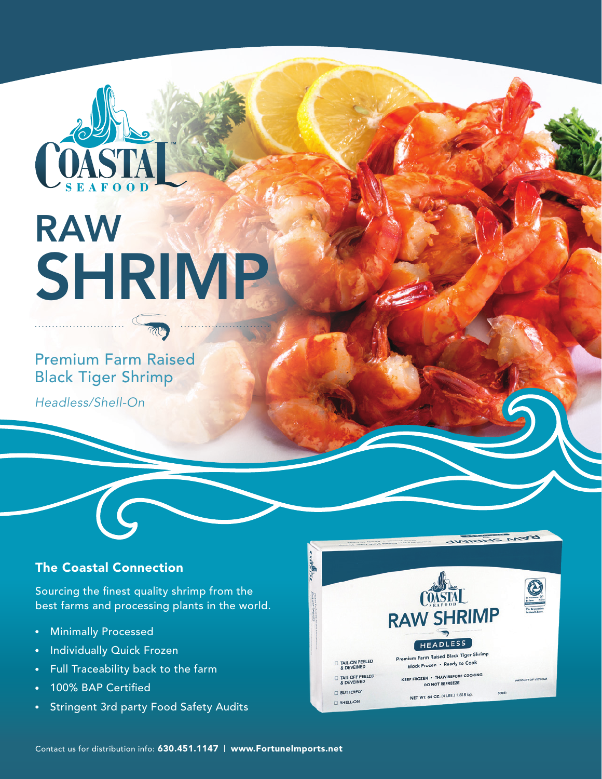

# RAW **SHRIMP**

## Premium Farm Raised Black Tiger Shrimp

*Headless/Shell-On*

## The Coastal Connection

Sourcing the finest quality shrimp from the best farms and processing plants in the world.

- Minimally Processed  $\bullet$
- Individually Quick Frozen
- Full Traceability back to the farm  $\bullet$
- 100% BAP Certified
- Stringent 3rd party Food Safety Audits